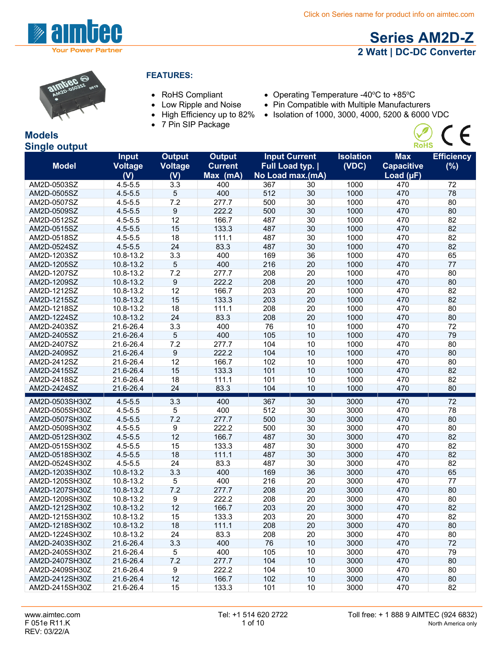

# **Series AM2D-Z 2 Watt | DC-DC Converter**

 $\oslash$  (E



#### **FEATURES:**

- 
- Low Ripple and Noise
- High Efficiency up to 82%
- 7 Pin SIP Package
- RoHS Compliant Operating Temperature -40°C to +85°C
	- Pin Compatible with Multiple Manufacturers
	- Isolation of 1000, 3000, 4000, 5200 & 6000 VDC

#### **Models Single output**

|                | <b>Input</b>   | <b>Output</b> | <b>Output</b>  |                  | <b>Input Current</b> | <b>Isolation</b> | <b>Max</b>        | <b>Efficiency</b> |
|----------------|----------------|---------------|----------------|------------------|----------------------|------------------|-------------------|-------------------|
| <b>Model</b>   | <b>Voltage</b> | Voltage       | <b>Current</b> | Full Load typ.   |                      | (VDC)            | <b>Capacitive</b> | (%)               |
|                | (V)            | (V)           | Max (mA)       | No Load max.(mA) |                      |                  | Load $(\mu F)$    |                   |
| AM2D-0503SZ    | $4.5 - 5.5$    | 3.3           | 400            | 367              | 30                   | 1000             | 470               | 72                |
| AM2D-0505SZ    | $4.5 - 5.5$    | 5             | 400            | 512              | 30                   | 1000             | 470               | 78                |
| AM2D-0507SZ    | $4.5 - 5.5$    | 7.2           | 277.7          | 500              | 30                   | 1000             | 470               | 80                |
| AM2D-0509SZ    | $4.5 - 5.5$    | 9             | 222.2          | 500              | 30                   | 1000             | 470               | 80                |
| AM2D-0512SZ    | $4.5 - 5.5$    | 12            | 166.7          | 487              | 30                   | 1000             | 470               | 82                |
| AM2D-0515SZ    | $4.5 - 5.5$    | 15            | 133.3          | 487              | 30                   | 1000             | 470               | 82                |
| AM2D-0518SZ    | $4.5 - 5.5$    | 18            | 111.1          | 487              | 30                   | 1000             | 470               | 82                |
| AM2D-0524SZ    | $4.5 - 5.5$    | 24            | 83.3           | 487              | 30                   | 1000             | 470               | 82                |
| AM2D-1203SZ    | 10.8-13.2      | 3.3           | 400            | 169              | 36                   | 1000             | 470               | 65                |
| AM2D-1205SZ    | 10.8-13.2      | 5             | 400            | 216              | 20                   | 1000             | 470               | 77                |
| AM2D-1207SZ    | 10.8-13.2      | 7.2           | 277.7          | 208              | 20                   | 1000             | 470               | 80                |
| AM2D-1209SZ    | 10.8-13.2      | 9             | 222.2          | 208              | 20                   | 1000             | 470               | 80                |
| AM2D-1212SZ    | 10.8-13.2      | 12            | 166.7          | 203              | 20                   | 1000             | 470               | 82                |
| AM2D-1215SZ    | 10.8-13.2      | 15            | 133.3          | 203              | 20                   | 1000             | 470               | 82                |
| AM2D-1218SZ    | 10.8-13.2      | 18            | 111.1          | 208              | 20                   | 1000             | 470               | 80                |
| AM2D-1224SZ    | 10.8-13.2      | 24            | 83.3           | 208              | 20                   | 1000             | 470               | 80                |
| AM2D-2403SZ    | 21.6-26.4      | 3.3           | 400            | 76               | 10                   | 1000             | 470               | 72                |
| AM2D-2405SZ    | 21.6-26.4      | 5             | 400            | 105              | 10                   | 1000             | 470               | 79                |
| AM2D-2407SZ    | 21.6-26.4      | 7.2           | 277.7          | 104              | 10                   | 1000             | 470               | 80                |
| AM2D-2409SZ    | 21.6-26.4      | 9             | 222.2          | 104              | 10                   | 1000             | 470               | 80                |
| AM2D-2412SZ    | 21.6-26.4      | 12            | 166.7          | 102              | 10                   | 1000             | 470               | 80                |
| AM2D-2415SZ    | 21.6-26.4      | 15            | 133.3          | 101              | 10                   | 1000             | 470               | 82                |
| AM2D-2418SZ    | 21.6-26.4      | 18            | 111.1          | 101              | 10                   | 1000             | 470               | 82                |
| AM2D-2424SZ    | 21.6-26.4      | 24            | 83.3           | 104              | 10                   | 1000             | 470               | 80                |
| AM2D-0503SH30Z | $4.5 - 5.5$    | 3.3           | 400            | 367              | 30                   | 3000             | 470               | 72                |
| AM2D-0505SH30Z | $4.5 - 5.5$    | 5             | 400            | 512              | 30                   | 3000             | 470               | 78                |
| AM2D-0507SH30Z | $4.5 - 5.5$    | 7.2           | 277.7          | 500              | 30                   | 3000             | 470               | 80                |
| AM2D-0509SH30Z | $4.5 - 5.5$    | 9             | 222.2          | 500              | 30                   | 3000             | 470               | 80                |
| AM2D-0512SH30Z | $4.5 - 5.5$    | 12            | 166.7          | 487              | 30                   | 3000             | 470               | 82                |
| AM2D-0515SH30Z | $4.5 - 5.5$    | 15            | 133.3          | 487              | 30                   | 3000             | 470               | 82                |
| AM2D-0518SH30Z | $4.5 - 5.5$    | 18            | 111.1          | 487              | 30                   | 3000             | 470               | 82                |
| AM2D-0524SH30Z | $4.5 - 5.5$    | 24            | 83.3           | 487              | 30                   | 3000             | 470               | 82                |
| AM2D-1203SH30Z | 10.8-13.2      | 3.3           | 400            | 169              | 36                   | 3000             | 470               | 65                |
| AM2D-1205SH30Z | 10.8-13.2      | 5             | 400            | 216              | 20                   | 3000             | 470               | 77                |
| AM2D-1207SH30Z | 10.8-13.2      | 7.2           | 277.7          | 208              | 20                   | 3000             | 470               | 80                |
| AM2D-1209SH30Z | 10.8-13.2      | 9             | 222.2          | 208              | 20                   | 3000             | 470               | 80                |
| AM2D-1212SH30Z | 10.8-13.2      | 12            | 166.7          | 203              | 20                   | 3000             | 470               | 82                |
| AM2D-1215SH30Z | 10.8-13.2      | 15            | 133.3          | 203              | 20                   | 3000             | 470               | 82                |
| AM2D-1218SH30Z | 10.8-13.2      | 18            | 111.1          | 208              | 20                   | 3000             | 470               | 80                |
| AM2D-1224SH30Z | 10.8-13.2      | 24            | 83.3           | 208              | 20                   | 3000             | 470               | 80                |
| AM2D-2403SH30Z | 21.6-26.4      | 3.3           | 400            | 76               | 10                   | 3000             | 470               | 72                |
| AM2D-2405SH30Z | 21.6-26.4      | 5             | 400            | 105              | 10                   | 3000             | 470               | 79                |
| AM2D-2407SH30Z | 21.6-26.4      | 7.2           | 277.7          | 104              | 10                   | 3000             | 470               | 80                |
| AM2D-2409SH30Z | 21.6-26.4      | 9             | 222.2          | 104              | 10                   | 3000             | 470               | 80                |
| AM2D-2412SH30Z | 21.6-26.4      | 12            | 166.7          | 102              | 10                   | 3000             | 470               | 80                |
| AM2D-2415SH30Z | 21.6-26.4      | 15            | 133.3          | 101              | $10$                 | 3000             | 470               | 82                |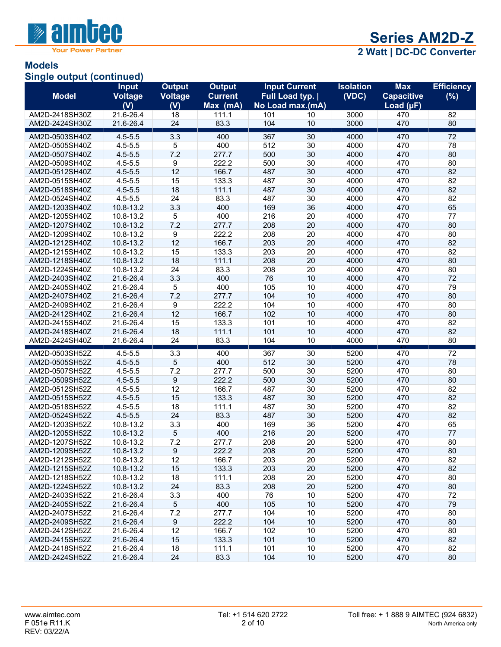

# **Models**

**Single output (continued)**

| <b>Model</b>   | <b>Input</b><br><b>Voltage</b> | <b>Output</b><br>Voltage | <b>Output</b><br><b>Current</b> |     | <b>Input Current</b><br>Full Load typ. | <b>Isolation</b><br>(VDC) | <b>Max</b><br><b>Capacitive</b> | <b>Efficiency</b><br>(%) |
|----------------|--------------------------------|--------------------------|---------------------------------|-----|----------------------------------------|---------------------------|---------------------------------|--------------------------|
|                | (V)                            | (V)                      | Max (mA)                        |     | No Load max.(mA)                       |                           | Load $(\mu F)$                  |                          |
| AM2D-2418SH30Z | 21.6-26.4                      | 18                       | 111.1                           | 101 | 10                                     | 3000                      | 470                             | 82                       |
| AM2D-2424SH30Z | 21.6-26.4                      | 24                       | 83.3                            | 104 | 10                                     | 3000                      | 470                             | 80                       |
| AM2D-0503SH40Z | $4.5 - 5.5$                    | 3.3                      | 400                             | 367 | 30                                     | 4000                      | 470                             | 72                       |
| AM2D-0505SH40Z | $4.5 - 5.5$                    | 5                        | 400                             | 512 | 30                                     | 4000                      | 470                             | 78                       |
| AM2D-0507SH40Z | $4.5 - 5.5$                    | 7.2                      | 277.7                           | 500 | 30                                     | 4000                      | 470                             | 80                       |
| AM2D-0509SH40Z | $4.5 - 5.5$                    | 9                        | 222.2                           | 500 | 30                                     | 4000                      | 470                             | 80                       |
| AM2D-0512SH40Z | $4.5 - 5.5$                    | 12                       | 166.7                           | 487 | 30                                     | 4000                      | 470                             | 82                       |
| AM2D-0515SH40Z | $4.5 - 5.5$                    | 15                       | 133.3                           | 487 | 30                                     | 4000                      | 470                             | 82                       |
| AM2D-0518SH40Z | $4.5 - 5.5$                    | 18                       | 111.1                           | 487 | 30                                     | 4000                      | 470                             | 82                       |
| AM2D-0524SH40Z | $4.5 - 5.5$                    | 24                       | 83.3                            | 487 | 30                                     | 4000                      | 470                             | 82                       |
| AM2D-1203SH40Z | 10.8-13.2                      | 3.3                      | 400                             | 169 | 36                                     | 4000                      | 470                             | 65                       |
| AM2D-1205SH40Z | 10.8-13.2                      | 5                        | 400                             | 216 | 20                                     | 4000                      | 470                             | 77                       |
| AM2D-1207SH40Z | 10.8-13.2                      | 7.2                      | 277.7                           | 208 | 20                                     | 4000                      | 470                             | 80                       |
| AM2D-1209SH40Z | 10.8-13.2                      | 9                        | 222.2                           | 208 | 20                                     | 4000                      | 470                             | 80                       |
| AM2D-1212SH40Z | 10.8-13.2                      | 12                       | 166.7                           | 203 | 20                                     | 4000                      | 470                             | 82                       |
| AM2D-1215SH40Z | 10.8-13.2                      | 15                       | 133.3                           | 203 | 20                                     | 4000                      | 470                             | 82                       |
| AM2D-1218SH40Z | 10.8-13.2                      | 18                       | 111.1                           | 208 | 20                                     | 4000                      | 470                             | 80                       |
| AM2D-1224SH40Z | 10.8-13.2                      | 24                       | 83.3                            | 208 | 20                                     | 4000                      | 470                             | 80                       |
| AM2D-2403SH40Z | 21.6-26.4                      | 3.3                      | 400                             | 76  | 10                                     | 4000                      | 470                             | 72                       |
| AM2D-2405SH40Z | 21.6-26.4                      | 5                        | 400                             | 105 | 10                                     | 4000                      | 470                             | 79                       |
| AM2D-2407SH40Z | 21.6-26.4                      | 7.2                      | 277.7                           | 104 | 10                                     | 4000                      | 470                             | 80                       |
| AM2D-2409SH40Z | 21.6-26.4                      | 9                        | 222.2                           | 104 | 10                                     | 4000                      | 470                             | 80                       |
| AM2D-2412SH40Z | 21.6-26.4                      | 12                       | 166.7                           | 102 | 10                                     | 4000                      | 470                             | 80                       |
| AM2D-2415SH40Z | 21.6-26.4                      | 15                       | 133.3                           | 101 | 10                                     | 4000                      | 470                             | 82                       |
| AM2D-2418SH40Z | 21.6-26.4                      | 18                       | 111.1                           | 101 | 10                                     | 4000                      | 470                             | 82                       |
| AM2D-2424SH40Z | 21.6-26.4                      | 24                       | 83.3                            | 104 | 10                                     | 4000                      | 470                             | 80                       |
| AM2D-0503SH52Z | $4.5 - 5.5$                    | 3.3                      | 400                             | 367 | 30                                     | 5200                      | 470                             | 72                       |
| AM2D-0505SH52Z | $4.5 - 5.5$                    | 5                        | 400                             | 512 | 30                                     | 5200                      | 470                             | 78                       |
| AM2D-0507SH52Z | $4.5 - 5.5$                    | 7.2                      | 277.7                           | 500 | 30                                     | 5200                      | 470                             | 80                       |
| AM2D-0509SH52Z | $4.5 - 5.5$                    | 9                        | 222.2                           | 500 | 30                                     | 5200                      | 470                             | 80                       |
| AM2D-0512SH52Z | $4.5 - 5.5$                    | 12                       | 166.7                           | 487 | 30                                     | 5200                      | 470                             | 82                       |
| AM2D-0515SH52Z | $4.5 - 5.5$                    | 15                       | 133.3                           | 487 | 30                                     | 5200                      | 470                             | 82                       |
| AM2D-0518SH52Z | $4.5 - 5.5$                    | 18                       | 111.1                           | 487 | 30                                     | 5200                      | 470                             | 82                       |
| AM2D-0524SH52Z | $4.5 - 5.5$                    | 24                       | 83.3                            | 487 | 30                                     | 5200                      | 470                             | 82                       |
| AM2D-1203SH52Z | 10.8-13.2                      | 3.3                      | 400                             | 169 | 36                                     | 5200                      | 470                             | 65                       |
| AM2D-1205SH52Z | 10.8-13.2                      | 5                        | 400                             | 216 | 20                                     | 5200                      | 470                             | 77                       |
| AM2D-1207SH52Z | 10.8-13.2                      | 7.2                      | 277.7                           | 208 | 20                                     | 5200                      | 470                             | 80                       |
| AM2D-1209SH52Z | 10.8-13.2                      | 9                        | 222.2                           | 208 | 20                                     | 5200                      | 470                             | 80                       |
| AM2D-1212SH52Z | 10.8-13.2                      | 12                       | 166.7                           | 203 | 20                                     | 5200                      | 470                             | 82                       |
| AM2D-1215SH52Z | 10.8-13.2                      | 15                       | 133.3                           | 203 | 20                                     | 5200                      | 470                             | 82                       |
| AM2D-1218SH52Z | 10.8-13.2                      | 18                       | 111.1                           | 208 | 20                                     | 5200                      | 470                             | 80                       |
| AM2D-1224SH52Z | 10.8-13.2                      | 24                       | 83.3                            | 208 | 20                                     | 5200                      | 470                             | 80                       |
| AM2D-2403SH52Z | 21.6-26.4                      | 3.3                      | 400                             | 76  | 10                                     | 5200                      | 470                             | 72                       |
| AM2D-2405SH52Z | 21.6-26.4                      | 5                        | 400                             | 105 | 10                                     | 5200                      | 470                             | 79                       |
| AM2D-2407SH52Z | 21.6-26.4                      | 7.2                      | 277.7                           | 104 | 10                                     | 5200                      | 470                             | 80                       |
| AM2D-2409SH52Z | 21.6-26.4                      | $\boldsymbol{9}$         | 222.2                           | 104 | 10                                     | 5200                      | 470                             | 80                       |
| AM2D-2412SH52Z | 21.6-26.4                      | 12                       | 166.7                           | 102 | 10                                     | 5200                      | 470                             | 80                       |
| AM2D-2415SH52Z | 21.6-26.4                      | 15                       | 133.3                           | 101 | 10                                     | 5200                      | 470                             | 82                       |
| AM2D-2418SH52Z | 21.6-26.4                      | 18                       | 111.1                           | 101 | 10                                     | 5200                      | 470                             | 82                       |
| AM2D-2424SH52Z | 21.6-26.4                      | 24                       | 83.3                            | 104 | 10                                     | 5200                      | 470                             | 80                       |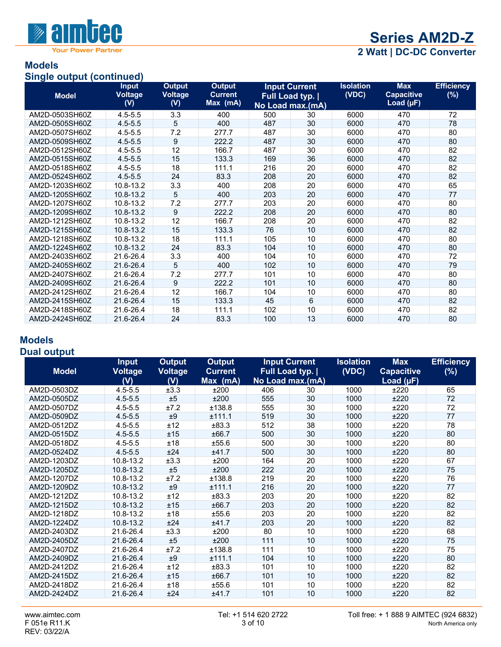

## **Models**

#### **Single output (continued)**

| <b>Model</b>   | <b>Input</b><br><b>Voltage</b><br>(V) | Output<br><b>Voltage</b><br>(V) | <b>Output</b><br><b>Current</b><br>Max (mA) | No Load max.(mA) | <b>Input Current</b><br>Full Load typ. | <b>Isolation</b><br>(VDC) | <b>Max</b><br><b>Capacitive</b><br>Load $(\mu F)$ | <b>Efficiency</b><br>(%) |
|----------------|---------------------------------------|---------------------------------|---------------------------------------------|------------------|----------------------------------------|---------------------------|---------------------------------------------------|--------------------------|
| AM2D-0503SH60Z | $4.5 - 5.5$                           | 3.3                             | 400                                         | 500              | 30                                     | 6000                      | 470                                               | 72                       |
| AM2D-0505SH60Z | $4.5 - 5.5$                           | 5                               | 400                                         | 487              | 30                                     | 6000                      | 470                                               | 78                       |
| AM2D-0507SH60Z | $4.5 - 5.5$                           | 7.2                             | 277.7                                       | 487              | 30                                     | 6000                      | 470                                               | 80                       |
| AM2D-0509SH60Z | $4.5 - 5.5$                           | 9                               | 222.2                                       | 487              | 30                                     | 6000                      | 470                                               | 80                       |
| AM2D-0512SH60Z | $4.5 - 5.5$                           | 12                              | 166.7                                       | 487              | 30                                     | 6000                      | 470                                               | 82                       |
| AM2D-0515SH60Z | $4.5 - 5.5$                           | 15                              | 133.3                                       | 169              | 36                                     | 6000                      | 470                                               | 82                       |
| AM2D-0518SH60Z | $4.5 - 5.5$                           | 18                              | 111.1                                       | 216              | 20                                     | 6000                      | 470                                               | 82                       |
| AM2D-0524SH60Z | $4.5 - 5.5$                           | 24                              | 83.3                                        | 208              | 20                                     | 6000                      | 470                                               | 82                       |
| AM2D-1203SH60Z | 10.8-13.2                             | 3.3                             | 400                                         | 208              | 20                                     | 6000                      | 470                                               | 65                       |
| AM2D-1205SH60Z | 10.8-13.2                             | 5                               | 400                                         | 203              | 20                                     | 6000                      | 470                                               | 77                       |
| AM2D-1207SH60Z | 10.8-13.2                             | 7.2                             | 277.7                                       | 203              | 20                                     | 6000                      | 470                                               | 80                       |
| AM2D-1209SH60Z | 10.8-13.2                             | 9                               | 222.2                                       | 208              | 20                                     | 6000                      | 470                                               | 80                       |
| AM2D-1212SH60Z | 10.8-13.2                             | 12                              | 166.7                                       | 208              | 20                                     | 6000                      | 470                                               | 82                       |
| AM2D-1215SH60Z | 10.8-13.2                             | 15                              | 133.3                                       | 76               | 10                                     | 6000                      | 470                                               | 82                       |
| AM2D-1218SH60Z | 10.8-13.2                             | 18                              | 111.1                                       | 105              | 10                                     | 6000                      | 470                                               | 80                       |
| AM2D-1224SH60Z | 10.8-13.2                             | 24                              | 83.3                                        | 104              | 10                                     | 6000                      | 470                                               | 80                       |
| AM2D-2403SH60Z | 21.6-26.4                             | 3.3                             | 400                                         | 104              | 10                                     | 6000                      | 470                                               | 72                       |
| AM2D-2405SH60Z | 21.6-26.4                             | 5                               | 400                                         | 102              | 10                                     | 6000                      | 470                                               | 79                       |
| AM2D-2407SH60Z | 21.6-26.4                             | 7.2                             | 277.7                                       | 101              | 10                                     | 6000                      | 470                                               | 80                       |
| AM2D-2409SH60Z | 21.6-26.4                             | 9                               | 222.2                                       | 101              | 10                                     | 6000                      | 470                                               | 80                       |
| AM2D-2412SH60Z | 21.6-26.4                             | 12                              | 166.7                                       | 104              | 10                                     | 6000                      | 470                                               | 80                       |
| AM2D-2415SH60Z | 21.6-26.4                             | 15                              | 133.3                                       | 45               | 6                                      | 6000                      | 470                                               | 82                       |
| AM2D-2418SH60Z | 21.6-26.4                             | 18                              | 111.1                                       | 102              | 10                                     | 6000                      | 470                                               | 82                       |
| AM2D-2424SH60Z | 21.6-26.4                             | 24                              | 83.3                                        | 100              | 13                                     | 6000                      | 470                                               | 80                       |

### **Models**

#### **Dual output**

|              | <b>Input</b>          | <b>Output</b>  | <b>Output</b>              |                | <b>Input Current</b> | <b>Isolation</b> | <b>Max</b>                          | <b>Efficiency</b> |
|--------------|-----------------------|----------------|----------------------------|----------------|----------------------|------------------|-------------------------------------|-------------------|
| <b>Model</b> | <b>Voltage</b><br>(V) | Voltage<br>(V) | <b>Current</b><br>Max (mA) | Full Load typ. | No Load max.(mA)     | (VDC)            | <b>Capacitive</b><br>Load $(\mu F)$ | (%)               |
| AM2D-0503DZ  | $4.5 - 5.5$           | ±3.3           | ±200                       | 406            | 30                   | 1000             | ±220                                | 65                |
| AM2D-0505DZ  | $4.5 - 5.5$           | ±5             | ±200                       | 555            | 30                   | 1000             | ±220                                | 72                |
| AM2D-0507DZ  | $4.5 - 5.5$           | ±7.2           | ±138.8                     | 555            | 30                   | 1000             | ±220                                | 72                |
| AM2D-0509DZ  | $4.5 - 5.5$           | ±9             | ±111.1                     | 519            | 30                   | 1000             | ±220                                | 77                |
| AM2D-0512DZ  | $4.5 - 5.5$           | ±12            | ±83.3                      | 512            | 38                   | 1000             | ±220                                | 78                |
| AM2D-0515DZ  | $4.5 - 5.5$           | ±15            | ±66.7                      | 500            | 30                   | 1000             | ±220                                | 80                |
| AM2D-0518DZ  | $4.5 - 5.5$           | ±18            | ±55.6                      | 500            | 30                   | 1000             | ±220                                | 80                |
| AM2D-0524DZ  | $4.5 - 5.5$           | ±24            | ±41.7                      | 500            | 30                   | 1000             | ±220                                | 80                |
| AM2D-1203DZ  | 10.8-13.2             | ±3.3           | ±200                       | 164            | 20                   | 1000             | ±220                                | 67                |
| AM2D-1205DZ  | 10.8-13.2             | ±5             | ±200                       | 222            | 20                   | 1000             | ±220                                | 75                |
| AM2D-1207DZ  | 10.8-13.2             | ±7.2           | ±138.8                     | 219            | 20                   | 1000             | ±220                                | 76                |
| AM2D-1209DZ  | 10.8-13.2             | ±9             | ±111.1                     | 216            | 20                   | 1000             | ±220                                | 77                |
| AM2D-1212DZ  | 10.8-13.2             | ±12            | ±83.3                      | 203            | 20                   | 1000             | ±220                                | 82                |
| AM2D-1215DZ  | 10.8-13.2             | ±15            | ±66.7                      | 203            | 20                   | 1000             | ±220                                | 82                |
| AM2D-1218DZ  | 10.8-13.2             | ±18            | ±55.6                      | 203            | 20                   | 1000             | ±220                                | 82                |
| AM2D-1224DZ  | 10.8-13.2             | ±24            | ±41.7                      | 203            | 20                   | 1000             | ±220                                | 82                |
| AM2D-2403DZ  | 21.6-26.4             | ±3.3           | ±200                       | 80             | 10                   | 1000             | ±220                                | 68                |
| AM2D-2405DZ  | 21.6-26.4             | ±5             | ±200                       | 111            | 10                   | 1000             | ±220                                | 75                |
| AM2D-2407DZ  | 21.6-26.4             | ±7.2           | ±138.8                     | 111            | 10                   | 1000             | ±220                                | 75                |
| AM2D-2409DZ  | 21.6-26.4             | ±9             | ±111.1                     | 104            | 10                   | 1000             | ±220                                | 80                |
| AM2D-2412DZ  | 21.6-26.4             | ±12            | ±83.3                      | 101            | 10                   | 1000             | ±220                                | 82                |
| AM2D-2415DZ  | 21.6-26.4             | ±15            | ±66.7                      | 101            | 10                   | 1000             | ±220                                | 82                |
| AM2D-2418DZ  | 21.6-26.4             | ±18            | ±55.6                      | 101            | 10                   | 1000             | ±220                                | 82                |
| AM2D-2424DZ  | 21.6-26.4             | ±24            | ±41.7                      | 101            | 10                   | 1000             | ±220                                | 82                |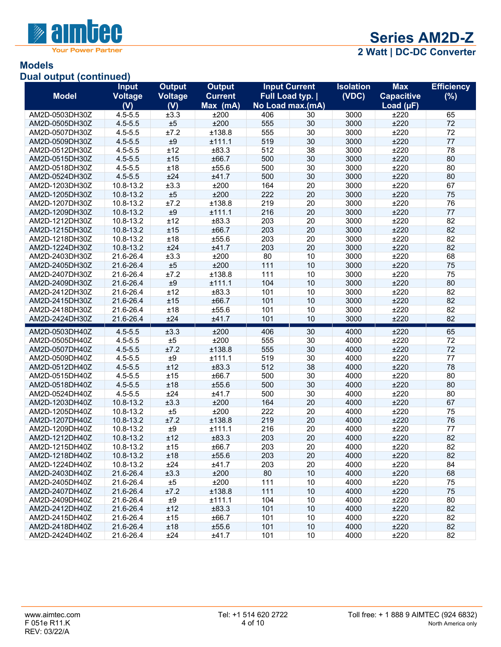

## **Models**

#### **Dual output (continued)**

|                | <b>Input</b>   | <b>Output</b> | <b>Output</b>  |     | <b>Input Current</b>    | <b>Isolation</b> | <b>Max</b>        | <b>Efficiency</b> |
|----------------|----------------|---------------|----------------|-----|-------------------------|------------------|-------------------|-------------------|
| <b>Model</b>   | <b>Voltage</b> | Voltage       | <b>Current</b> |     | <b>Full Load typ.  </b> | (VDC)            | <b>Capacitive</b> | (%)               |
|                | (V)            | (V)           | Max (mA)       |     | No Load max.(mA)        |                  | Load $(\mu F)$    |                   |
| AM2D-0503DH30Z | $4.5 - 5.5$    | ±3.3          | ±200           | 406 | 30                      | 3000             | ±220              | 65                |
| AM2D-0505DH30Z | $4.5 - 5.5$    | ±5            | ±200           | 555 | 30                      | 3000             | ±220              | 72                |
| AM2D-0507DH30Z | $4.5 - 5.5$    | ±7.2          | ±138.8         | 555 | 30                      | 3000             | ±220              | 72                |
| AM2D-0509DH30Z | $4.5 - 5.5$    | ±9            | ±111.1         | 519 | 30                      | 3000             | ±220              | 77                |
| AM2D-0512DH30Z | $4.5 - 5.5$    | ±12           | ±83.3          | 512 | 38                      | 3000             | ±220              | 78                |
| AM2D-0515DH30Z | $4.5 - 5.5$    | ±15           | ±66.7          | 500 | 30                      | 3000             | ±220              | 80                |
| AM2D-0518DH30Z | $4.5 - 5.5$    | ±18           | ±55.6          | 500 | 30                      | 3000             | ±220              | 80                |
| AM2D-0524DH30Z | $4.5 - 5.5$    | ±24           | ±41.7          | 500 | 30                      | 3000             | ±220              | 80                |
| AM2D-1203DH30Z | 10.8-13.2      | ±3.3          | ±200           | 164 | 20                      | 3000             | ±220              | 67                |
| AM2D-1205DH30Z | 10.8-13.2      | ±5            | ±200           | 222 | 20                      | 3000             | ±220              | 75                |
| AM2D-1207DH30Z | 10.8-13.2      | ±7.2          | ±138.8         | 219 | 20                      | 3000             | ±220              | 76                |
| AM2D-1209DH30Z | 10.8-13.2      | ±9            | ±111.1         | 216 | 20                      | 3000             | ±220              | 77                |
| AM2D-1212DH30Z | $10.8 - 13.2$  | ±12           | ±83.3          | 203 | 20                      | 3000             | ±220              | 82                |
| AM2D-1215DH30Z | 10.8-13.2      | ±15           | ±66.7          | 203 | 20                      | 3000             | ±220              | 82                |
| AM2D-1218DH30Z | 10.8-13.2      | ±18           | ±55.6          | 203 | 20                      | 3000             | ±220              | 82                |
| AM2D-1224DH30Z | 10.8-13.2      | ±24           | ±41.7          | 203 | 20                      | 3000             | ±220              | 82                |
| AM2D-2403DH30Z | 21.6-26.4      | ±3.3          | ±200           | 80  | 10                      | 3000             | ±220              | 68                |
| AM2D-2405DH30Z | 21.6-26.4      | ±5            | ±200           | 111 | 10                      | 3000             | ±220              | 75                |
| AM2D-2407DH30Z | 21.6-26.4      | ±7.2          | ±138.8         | 111 | 10                      | 3000             | ±220              | 75                |
| AM2D-2409DH30Z | 21.6-26.4      | ±9            | ±111.1         | 104 | 10                      | 3000             | ±220              | 80                |
| AM2D-2412DH30Z | 21.6-26.4      | ±12           | ±83.3          | 101 | 10                      | 3000             | ±220              | 82                |
| AM2D-2415DH30Z | 21.6-26.4      | ±15           | ±66.7          | 101 | 10                      | 3000             | ±220              | 82                |
| AM2D-2418DH30Z | 21.6-26.4      | ±18           | ±55.6          | 101 | 10                      | 3000             | ±220              | 82                |
| AM2D-2424DH30Z | 21.6-26.4      | ±24           | ±41.7          | 101 | 10                      | 3000             | ±220              | 82                |
| AM2D-0503DH40Z | $4.5 - 5.5$    | ±3.3          | ±200           | 406 | 30                      | 4000             | ±220              | 65                |
| AM2D-0505DH40Z | $4.5 - 5.5$    | ±5            | ±200           | 555 | 30                      | 4000             | ±220              | 72                |
| AM2D-0507DH40Z | $4.5 - 5.5$    | ±7.2          | ±138.8         | 555 | 30                      | 4000             | ±220              | 72                |
| AM2D-0509DH40Z | $4.5 - 5.5$    | $\pm 9$       | ±111.1         | 519 | 30                      | 4000             | ±220              | 77                |
| AM2D-0512DH40Z | $4.5 - 5.5$    | ±12           | ±83.3          | 512 | 38                      | 4000             | ±220              | 78                |
| AM2D-0515DH40Z | $4.5 - 5.5$    | ±15           | ±66.7          | 500 | 30                      | 4000             | ±220              | 80                |
| AM2D-0518DH40Z | $4.5 - 5.5$    | ±18           | ±55.6          | 500 | 30                      | 4000             | ±220              | 80                |
| AM2D-0524DH40Z | $4.5 - 5.5$    | ±24           | ±41.7          | 500 | 30                      | 4000             | ±220              | 80                |
| AM2D-1203DH40Z | 10.8-13.2      | ±3.3          | ±200           | 164 | 20                      | 4000             | ±220              | 67                |
| AM2D-1205DH40Z | 10.8-13.2      | ±5            | ±200           | 222 | 20                      | 4000             | ±220              | 75                |
| AM2D-1207DH40Z | 10.8-13.2      | ±7.2          | ±138.8         | 219 | 20                      | 4000             | ±220              | 76                |
| AM2D-1209DH40Z | 10.8-13.2      | $\pm 9$       | ±111.1         | 216 | 20                      | 4000             | ±220              | 77                |
| AM2D-1212DH40Z | 10.8-13.2      | ±12           | ±83.3          | 203 | 20                      | 4000             | ±220              | 82                |
| AM2D-1215DH40Z | 10.8-13.2      | ±15           | ±66.7          | 203 | 20                      | 4000             | ±220              | 82                |
| AM2D-1218DH40Z | 10.8-13.2      | ±18           | ±55.6          | 203 | 20                      | 4000             | ±220              | 82                |
| AM2D-1224DH40Z | 10.8-13.2      | ±24           | ±41.7          | 203 | 20                      | 4000             | ±220              | 84                |
| AM2D-2403DH40Z | 21.6-26.4      | ±3.3          | ±200           | 80  | 10                      | 4000             | ±220              | 68                |
| AM2D-2405DH40Z | 21.6-26.4      | ±5            | ±200           | 111 | $10$                    | 4000             | ±220              | 75                |
| AM2D-2407DH40Z | 21.6-26.4      | ±7.2          | ±138.8         | 111 | 10                      | 4000             | ±220              | 75                |
| AM2D-2409DH40Z | 21.6-26.4      | $\pm 9$       | ±111.1         | 104 | 10                      | 4000             | ±220              | 80                |
| AM2D-2412DH40Z | 21.6-26.4      | ±12           | ±83.3          | 101 | 10                      | 4000             | ±220              | 82                |
| AM2D-2415DH40Z | 21.6-26.4      | ±15           | ±66.7          | 101 | 10                      | 4000             | ±220              | 82                |
| AM2D-2418DH40Z | 21.6-26.4      | ±18           | ±55.6          | 101 | $10$                    | 4000             | ±220              | 82                |
| AM2D-2424DH40Z | 21.6-26.4      | ±24           | ±41.7          | 101 | 10                      | 4000             | ±220              | 82                |
|                |                |               |                |     |                         |                  |                   |                   |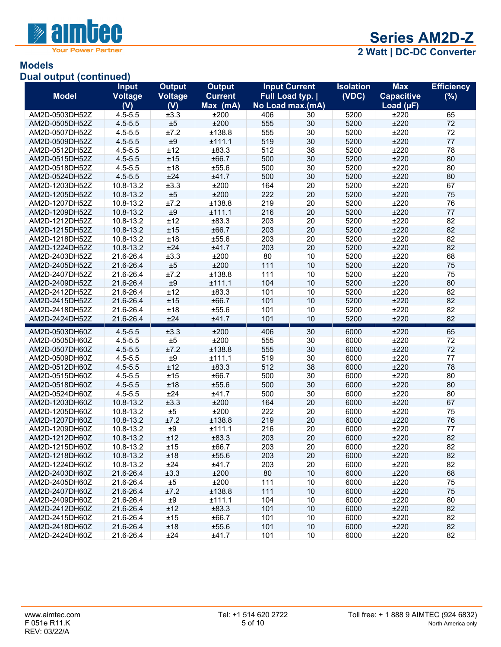

## **Models**

#### **Dual output (continued)**

|                                  | <b>Input</b>               | <b>Output</b>  | <b>Output</b>    |            | <b>Input Current</b>    | <b>Isolation</b> | <b>Max</b>        | <b>Efficiency</b> |
|----------------------------------|----------------------------|----------------|------------------|------------|-------------------------|------------------|-------------------|-------------------|
| <b>Model</b>                     | <b>Voltage</b>             | <b>Voltage</b> | <b>Current</b>   |            | <b>Full Load typ.  </b> | (VDC)            | <b>Capacitive</b> | (%)               |
|                                  | (V)                        | (V)            | Max (mA)         |            | No Load max.(mA)        |                  | Load $(\mu F)$    |                   |
| AM2D-0503DH52Z                   | $4.5 - 5.5$                | ±3.3           | ±200             | 406        | 30                      | 5200             | ±220              | 65                |
| AM2D-0505DH52Z                   | $4.5 - 5.5$                | ±5             | ±200             | 555        | 30                      | 5200             | ±220              | 72                |
| AM2D-0507DH52Z                   | $4.5 - 5.5$                | ±7.2           | ±138.8           | 555        | 30                      | 5200             | ±220              | 72                |
| AM2D-0509DH52Z                   | $4.5 - 5.5$                | ±9             | ±111.1           | 519        | 30                      | 5200             | ±220              | 77                |
| AM2D-0512DH52Z                   | $4.5 - 5.5$                | ±12            | ±83.3            | 512        | 38                      | 5200             | ±220              | 78                |
| AM2D-0515DH52Z                   | $4.5 - 5.5$                | ±15            | ±66.7            | 500        | 30                      | 5200             | ±220              | 80                |
| AM2D-0518DH52Z                   | $4.5 - 5.5$                | ±18            | ±55.6            | 500        | 30                      | 5200             | ±220              | 80                |
| AM2D-0524DH52Z                   | $4.5 - 5.5$                | ±24            | ±41.7            | 500        | 30                      | 5200             | ±220              | 80                |
| AM2D-1203DH52Z                   | 10.8-13.2                  | ±3.3           | ±200             | 164        | 20                      | 5200             | ±220              | 67                |
| AM2D-1205DH52Z                   | 10.8-13.2                  | ±5             | ±200             | 222        | 20                      | 5200             | ±220              | 75                |
| AM2D-1207DH52Z                   | 10.8-13.2                  | ±7.2           | ±138.8           | 219        | 20                      | 5200             | ±220              | 76                |
| AM2D-1209DH52Z                   | 10.8-13.2                  | $\pm 9$        | ±111.1           | 216        | 20                      | 5200             | ±220              | 77                |
| AM2D-1212DH52Z                   | 10.8-13.2                  | ±12            | ±83.3            | 203        | 20                      | 5200             | ±220              | 82                |
| AM2D-1215DH52Z                   | 10.8-13.2                  | ±15            | ±66.7            | 203        | 20                      | 5200             | ±220              | 82                |
| AM2D-1218DH52Z                   | 10.8-13.2                  | ±18            | ±55.6            | 203        | 20                      | 5200             | ±220              | 82                |
| AM2D-1224DH52Z                   | 10.8-13.2                  | ±24            | ±41.7            | 203        | 20                      | 5200             | ±220              | 82                |
| AM2D-2403DH52Z                   | 21.6-26.4                  | ±3.3           | ±200             | 80         | 10                      | 5200             | ±220              | 68                |
| AM2D-2405DH52Z                   | 21.6-26.4                  | ±5             | ±200             | 111        | 10                      | 5200             | ±220              | 75                |
| AM2D-2407DH52Z                   | 21.6-26.4                  | ±7.2           | ±138.8           | 111        | 10                      | 5200             | ±220              | 75                |
| AM2D-2409DH52Z                   | 21.6-26.4                  | ±9             | ±111.1           | 104        | 10                      | 5200             | ±220              | 80                |
| AM2D-2412DH52Z                   | 21.6-26.4                  | ±12            | ±83.3            | 101        | 10                      | 5200             | ±220              | 82                |
| AM2D-2415DH52Z                   | 21.6-26.4                  | ±15            | ±66.7            | 101        | 10                      | 5200             | ±220              | 82                |
| AM2D-2418DH52Z                   | 21.6-26.4                  | ±18            | ±55.6            | 101        | 10                      | 5200             | ±220              | 82                |
| AM2D-2424DH52Z                   | 21.6-26.4                  | ±24            | ±41.7            | 101        | 10                      | 5200             | ±220              | 82                |
| AM2D-0503DH60Z                   | $4.5 - 5.5$                | ±3.3           | ±200             | 406        | 30                      | 6000             | ±220              | 65                |
| AM2D-0505DH60Z                   | $4.5 - 5.5$                | ±5             | ±200             | 555        | 30                      | 6000             | ±220              | 72                |
| AM2D-0507DH60Z                   | $4.5 - 5.5$                | ±7.2           | ±138.8           | 555        | 30                      | 6000             | ±220              | 72                |
|                                  | $4.5 - 5.5$                | ±9             | ±111.1           | 519        | 30                      | 6000             | ±220              | 77                |
| AM2D-0509DH60Z                   |                            | ±12            | ±83.3            | 512        | 38                      | 6000             | ±220              | 78                |
| AM2D-0512DH60Z<br>AM2D-0515DH60Z | $4.5 - 5.5$<br>$4.5 - 5.5$ | ±15            | ±66.7            | 500        | 30                      | 6000             | ±220              | 80                |
|                                  | $4.5 - 5.5$                | ±18            | ±55.6            | 500        | 30                      | 6000             | ±220              | 80                |
| AM2D-0518DH60Z                   |                            |                |                  |            |                         |                  |                   |                   |
| AM2D-0524DH60Z                   | $4.5 - 5.5$                | ±24            | ±41.7            | 500        | 30                      | 6000             | ±220              | 80                |
| AM2D-1203DH60Z                   | 10.8-13.2                  | ±3.3           | ±200             | 164        | 20                      | 6000             | ±220              | 67                |
| AM2D-1205DH60Z<br>AM2D-1207DH60Z | 10.8-13.2                  | ±5<br>±7.2     | ±200             | 222<br>219 | 20<br>20                | 6000<br>6000     | ±220<br>±220      | 75<br>76          |
| AM2D-1209DH60Z                   | 10.8-13.2                  | $\pm 9$        | ±138.8<br>±111.1 | 216        | 20                      | 6000             | ±220              | 77                |
|                                  | 10.8-13.2                  |                |                  |            |                         |                  |                   |                   |
| AM2D-1212DH60Z                   | 10.8-13.2                  | ±12            | ±83.3            | 203        | 20                      | 6000             | ±220              | 82                |
| AM2D-1215DH60Z                   | 10.8-13.2                  | ±15            | ±66.7            | 203        | 20                      | 6000             | ±220              | 82                |
| AM2D-1218DH60Z                   | 10.8-13.2                  | ±18            | ±55.6            | 203        | 20                      | 6000             | ±220              | 82                |
| AM2D-1224DH60Z                   | 10.8-13.2                  | ±24            | ±41.7            | 203        | 20                      | 6000             | ±220              | 82                |
| AM2D-2403DH60Z                   | 21.6-26.4                  | ±3.3           | ±200             | 80         | 10                      | 6000             | ±220              | 68                |
| AM2D-2405DH60Z                   | 21.6-26.4                  | ±5             | ±200             | 111        | 10                      | 6000             | ±220              | 75                |
| AM2D-2407DH60Z                   | 21.6-26.4                  | ±7.2           | ±138.8           | 111        | 10                      | 6000             | ±220              | 75                |
| AM2D-2409DH60Z                   | 21.6-26.4                  | ±9             | ±111.1           | 104        | 10                      | 6000             | ±220              | 80                |
| AM2D-2412DH60Z                   | 21.6-26.4                  | ±12            | ±83.3            | 101        | 10 <sup>°</sup>         | 6000             | ±220              | 82                |
| AM2D-2415DH60Z                   | 21.6-26.4                  | ±15            | ±66.7            | 101        | 10                      | 6000             | ±220              | 82                |
| AM2D-2418DH60Z                   | 21.6-26.4                  | ±18            | ±55.6            | 101        | 10                      | 6000             | ±220              | 82                |
| AM2D-2424DH60Z                   | 21.6-26.4                  | ±24            | ±41.7            | 101        | 10                      | 6000             | ±220              | 82                |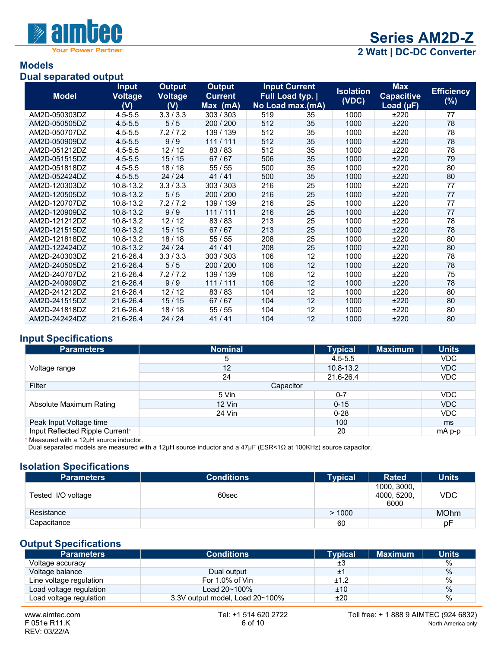

## **Models**

#### **Dual separated output**

| <b>Model</b>  | <b>Input</b><br>Voltage | <b>Output</b><br><b>Voltage</b> | <b>Output</b><br><b>Current</b> |     | <b>Input Current</b><br>Full Load typ. | <b>Isolation</b> | <b>Max</b><br><b>Capacitive</b> | <b>Efficiency</b> |
|---------------|-------------------------|---------------------------------|---------------------------------|-----|----------------------------------------|------------------|---------------------------------|-------------------|
|               | (V)                     | (V)                             | Max (mA)                        |     | No Load max.(mA)                       | (VDC)            | Load $(\mu F)$                  | $(\%)$            |
| AM2D-050303DZ | $4.5 - 5.5$             | 3.3 / 3.3                       | 303 / 303                       | 519 | 35                                     | 1000             | ±220                            | 77                |
| AM2D-050505DZ | $4.5 - 5.5$             | 5/5                             | 200 / 200                       | 512 | 35                                     | 1000             | ±220                            | 78                |
| AM2D-050707DZ | $4.5 - 5.5$             | 7.2/7.2                         | 139 / 139                       | 512 | 35                                     | 1000             | ±220                            | 78                |
| AM2D-050909DZ | $4.5 - 5.5$             | 9/9                             | 111/111                         | 512 | 35                                     | 1000             | ±220                            | 78                |
| AM2D-051212DZ | $4.5 - 5.5$             | 12/12                           | 83/83                           | 512 | 35                                     | 1000             | ±220                            | 78                |
| AM2D-051515DZ | $4.5 - 5.5$             | 15/15                           | 67/67                           | 506 | 35                                     | 1000             | ±220                            | 79                |
| AM2D-051818DZ | $4.5 - 5.5$             | 18/18                           | 55/55                           | 500 | 35                                     | 1000             | ±220                            | 80                |
| AM2D-052424DZ | $4.5 - 5.5$             | 24/24                           | 41/41                           | 500 | 35                                     | 1000             | ±220                            | 80                |
| AM2D-120303DZ | 10.8-13.2               | 3.3/3.3                         | 303 / 303                       | 216 | 25                                     | 1000             | ±220                            | 77                |
| AM2D-120505DZ | 10.8-13.2               | 5/5                             | 200 / 200                       | 216 | 25                                     | 1000             | ±220                            | 77                |
| AM2D-120707DZ | 10.8-13.2               | 7.2/7.2                         | 139 / 139                       | 216 | 25                                     | 1000             | ±220                            | 77                |
| AM2D-120909DZ | 10.8-13.2               | 9/9                             | 111/111                         | 216 | 25                                     | 1000             | ±220                            | 77                |
| AM2D-121212DZ | 10.8-13.2               | 12/12                           | 83/83                           | 213 | 25                                     | 1000             | ±220                            | 78                |
| AM2D-121515DZ | 10.8-13.2               | 15/15                           | 67/67                           | 213 | 25                                     | 1000             | ±220                            | 78                |
| AM2D-121818DZ | 10.8-13.2               | 18/18                           | 55/55                           | 208 | 25                                     | 1000             | ±220                            | 80                |
| AM2D-122424DZ | 10.8-13.2               | 24 / 24                         | 41/41                           | 208 | 25                                     | 1000             | ±220                            | 80                |
| AM2D-240303DZ | 21.6-26.4               | 3.3/3.3                         | 303 / 303                       | 106 | 12                                     | 1000             | ±220                            | 78                |
| AM2D-240505DZ | 21.6-26.4               | 5/5                             | 200 / 200                       | 106 | 12                                     | 1000             | ±220                            | 78                |
| AM2D-240707DZ | 21.6-26.4               | 7.2/7.2                         | 139 / 139                       | 106 | 12                                     | 1000             | ±220                            | 75                |
| AM2D-240909DZ | 21.6-26.4               | 9/9                             | 111/111                         | 106 | 12                                     | 1000             | ±220                            | 78                |
| AM2D-241212DZ | 21.6-26.4               | 12/12                           | 83/83                           | 104 | 12                                     | 1000             | ±220                            | 80                |
| AM2D-241515DZ | 21.6-26.4               | 15/15                           | 67/67                           | 104 | 12                                     | 1000             | ±220                            | 80                |
| AM2D-241818DZ | 21.6-26.4               | 18/18                           | 55/55                           | 104 | 12                                     | 1000             | ±220                            | 80                |
| AM2D-242424DZ | 21.6-26.4               | 24 / 24                         | 41/41                           | 104 | 12                                     | 1000             | ±220                            | 80                |

#### **Input Specifications**

| <b>Parameters</b>               | <b>Nominal</b> | <b>Typical</b> | <b>Maximum</b> | Units      |  |  |
|---------------------------------|----------------|----------------|----------------|------------|--|--|
| Voltage range                   | 5              | $4.5 - 5.5$    |                | <b>VDC</b> |  |  |
|                                 | 12             | $10.8 - 13.2$  |                | <b>VDC</b> |  |  |
|                                 | 24             | 21.6-26.4      |                | <b>VDC</b> |  |  |
| Filter                          | Capacitor      |                |                |            |  |  |
|                                 | 5 Vin          | $0 - 7$        |                | <b>VDC</b> |  |  |
| Absolute Maximum Rating         | $12$ Vin       | $0 - 15$       |                | <b>VDC</b> |  |  |
|                                 | 24 Vin         | $0 - 28$       |                | <b>VDC</b> |  |  |
| Peak Input Voltage time         |                | 100            |                | ms         |  |  |
| Input Reflected Ripple Current* |                | 20             |                | mA p-p     |  |  |

Measured with a  $12\mu$ H source inductor.

Dual separated models are measured with a 12µH source inductor and a 47µF (ESR<1Ω at 100KHz) source capacitor.

#### **Isolation Specifications**

| <b>Parameters</b>  | <b>Conditions</b> | <b>Typical</b> | <b>Rated</b>                       | <b>Units</b> |
|--------------------|-------------------|----------------|------------------------------------|--------------|
| Tested I/O voltage | 60sec             |                | 1000, 3000,<br>4000, 5200,<br>6000 | <b>VDC</b>   |
| Resistance         |                   | >1000          |                                    | <b>MOhm</b>  |
| Capacitance        |                   | 60             |                                    | рF           |

#### **Output Specifications**

| <b>Parameters</b>       | <b>Conditions</b>               | <b>Tvpical</b> | <b>Maximum</b> | <b>Units</b> |
|-------------------------|---------------------------------|----------------|----------------|--------------|
| Voltage accuracy        |                                 | ±3             |                | %            |
| Voltage balance         | Dual output                     | ±1             |                | %            |
| Line voltage regulation | For 1.0% of Vin                 | ±1.2           |                | %            |
| Load voltage regulation | Load $20 - 100\%$               | ±10            |                | $\%$         |
| Load voltage regulation | 3.3V output model, Load 20~100% | ±20            |                | $\%$         |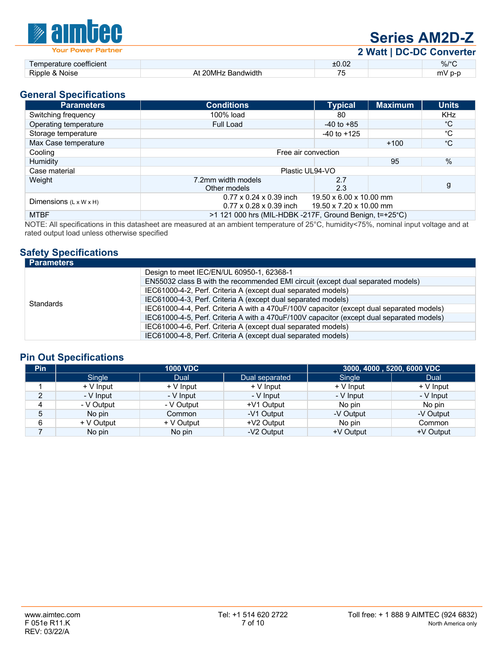

# **Series AM2D-Z**

**2 Watt | DC-DC Converter**

|                              |                    |                                 | ----- |      |
|------------------------------|--------------------|---------------------------------|-------|------|
| : coefficient<br>noerature c |                    | n r<br>LU.UZ                    |       | %/°C |
| Rinnle<br><b>NOISE</b>       | Bandwidth<br>. IMF | $\overline{\phantom{a}}$<br>. . |       |      |

#### **General Specifications**

| <b>Parameters</b>                  | <b>Conditions</b>                                                          | <b>Typical</b>                                     | <b>Maximum</b> | <b>Units</b> |  |  |
|------------------------------------|----------------------------------------------------------------------------|----------------------------------------------------|----------------|--------------|--|--|
| Switching frequency                | 100% load                                                                  | 80                                                 |                | KHz          |  |  |
| Operating temperature              | Full Load                                                                  | $-40$ to $+85$                                     |                | °С           |  |  |
| Storage temperature                |                                                                            | $-40$ to $+125$                                    |                | °C           |  |  |
| Max Case temperature               |                                                                            |                                                    | $+100$         | $^{\circ}C$  |  |  |
| Cooling                            | Free air convection                                                        |                                                    |                |              |  |  |
| Humidity                           |                                                                            |                                                    | 95             | $\%$         |  |  |
| Case material                      | Plastic UL94-VO                                                            |                                                    |                |              |  |  |
| Weight                             | 7.2mm width models<br>Other models                                         | 2.7<br>2.3                                         |                | g            |  |  |
| Dimensions $(L \times W \times H)$ | $0.77 \times 0.24 \times 0.39$ inch<br>$0.77 \times 0.28 \times 0.39$ inch | 19.50 x 6.00 x 10.00 mm<br>19.50 x 7.20 x 10.00 mm |                |              |  |  |
| <b>MTBF</b>                        | >1 121 000 hrs (MIL-HDBK -217F, Ground Benign, t=+25°C)                    |                                                    |                |              |  |  |

NOTE: All specifications in this datasheet are measured at an ambient temperature of 25°C, humidity<75%, nominal input voltage and at rated output load unless otherwise specified

#### **Safety Specifications**

| <b>Parameters</b> |                                                                                           |  |  |
|-------------------|-------------------------------------------------------------------------------------------|--|--|
|                   | Design to meet IEC/EN/UL 60950-1, 62368-1                                                 |  |  |
|                   | EN55032 class B with the recommended EMI circuit (except dual separated models)           |  |  |
|                   | IEC61000-4-2, Perf. Criteria A (except dual separated models)                             |  |  |
| <b>Standards</b>  | IEC61000-4-3, Perf. Criteria A (except dual separated models)                             |  |  |
|                   | IEC61000-4-4, Perf. Criteria A with a 470uF/100V capacitor (except dual separated models) |  |  |
|                   | IEC61000-4-5, Perf. Criteria A with a 470uF/100V capacitor (except dual separated models) |  |  |
|                   | IEC61000-4-6, Perf. Criteria A (except dual separated models)                             |  |  |
|                   | IEC61000-4-8, Perf. Criteria A (except dual separated models)                             |  |  |

#### **Pin Out Specifications**

| Pin | <b>1000 VDC</b> |            |                        | 3000, 4000, 5200, 6000 VDC |            |
|-----|-----------------|------------|------------------------|----------------------------|------------|
|     | Single          | Dual       | Dual separated         | Single                     | Dual       |
|     | $+V$ Input      | $+V$ Input | $+V$ Input             | $+V$ Input                 | $+V$ Input |
| 2   | - V Input       | - V Input  | - V Input<br>- V Input |                            | - V Input  |
| 4   | - V Output      | - V Output | +V1 Output             | No pin                     | No pin     |
| 5   | No pin          | Common     | -V1 Output             | -V Output                  | -V Output  |
| 6   | + V Output      | + V Output | +V2 Output             | No pin                     | Common     |
|     | No pin          | No pin     | -V2 Output             | +V Output                  | +V Output  |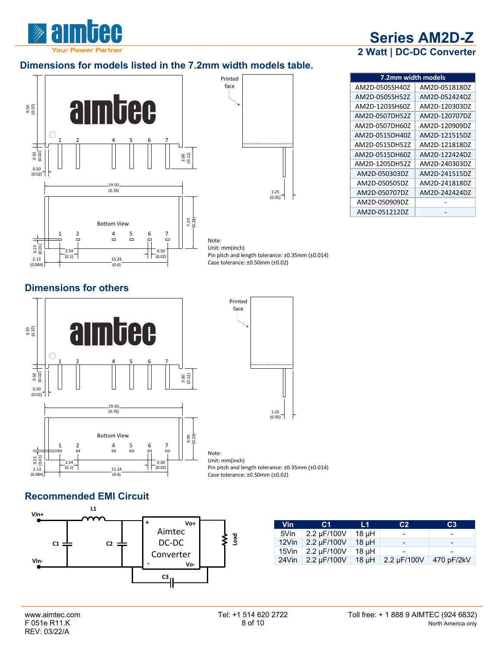## **Dimensions for models listed in the 7.2mm width models table.**



| 2 Watt   DC-DC Converter |               |  |  |  |  |  |
|--------------------------|---------------|--|--|--|--|--|
| 7.2mm width models       |               |  |  |  |  |  |
| AM2D-0505SH40Z           | AM2D-051818DZ |  |  |  |  |  |
| AM2D-0505SH52Z           | AM2D-052424DZ |  |  |  |  |  |
| AM2D-1203SH60Z           | AM2D-120303DZ |  |  |  |  |  |
| AM2D-0507DH52Z           | AM2D-120707DZ |  |  |  |  |  |
| AM2D-0507DH60Z           | AM2D-120909DZ |  |  |  |  |  |
| AM2D-0515DH40Z           | AM2D-121515DZ |  |  |  |  |  |
| AM2D-0515DH52Z           | AM2D-121818DZ |  |  |  |  |  |
| AM2D-0515DH60Z           | AM2D-122424DZ |  |  |  |  |  |
| AM2D-1205DH52Z           | AM2D-240303DZ |  |  |  |  |  |
| AM2D-050303DZ            | AM2D-241515DZ |  |  |  |  |  |
| AM2D-050505DZ            | AM2D-241818DZ |  |  |  |  |  |
| AM2D-050707DZ            | AM2D-242424DZ |  |  |  |  |  |
| AM2D-050909DZ            |               |  |  |  |  |  |

AM2D-051212DZ -

**Series AM2D-Z**

Pin pitch and length tolerance: ±0.35mm (±0.014) Case tolerance: ±0.50mm (±0.02)

#### **Dimensions for others**





Note: Unit: mm(inch) Pin pitch and length tolerance: ±0.35mm (±0.014) Case tolerance: ±0.50mm (±0.02)

#### **Recommended EMI Circuit**



| <b>Vin</b> | C1          | L1.   | C <sub>2</sub>            | C <sub>3</sub>           |
|------------|-------------|-------|---------------------------|--------------------------|
| 5Vin       | 2.2 µF/100V | 18 µH | $\,$                      | $\overline{\phantom{0}}$ |
| 12Vin      | 2.2 uF/100V | 18 uH | -                         | -                        |
| 15Vin      | 2.2 µF/100V | 18 µH |                           | $\overline{\phantom{0}}$ |
| 24Vin      | 2.2 uF/100V |       | 18 µH $\vert$ 2.2 µF/100V | 470 pF/2kV               |

# REV: 03/22/A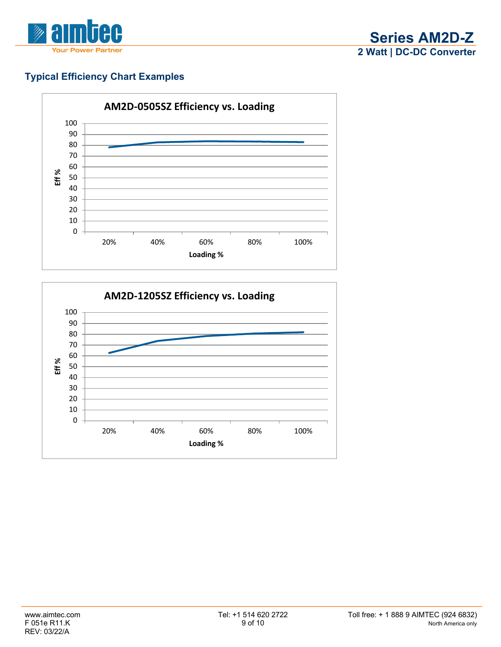

## **Typical Efficiency Chart Examples**